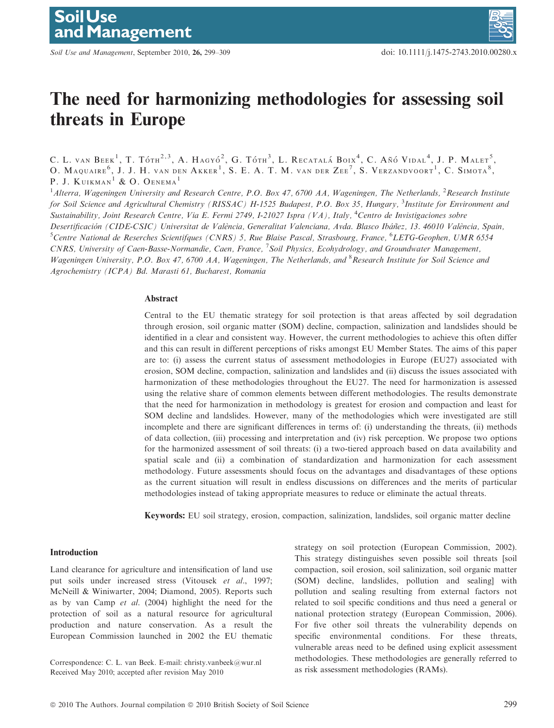Soil Use and Management, September 2010, 26, 299-309 doi: 10.1111/j.1475-2743.2010.00280.x

# The need for harmonizing methodologies for assessing soil threats in Europe

C. L. van Beek<sup>1</sup>, T. Tóth<sup>2,3</sup>, A. Hagyó<sup>2</sup>, G. Tóth<sup>3</sup>, L. Recatalá Boix<sup>4</sup>, C. Añó Vidal<sup>4</sup>, J. P. Malet<sup>5</sup>, O. Maquaire $^6$ , J. J. H. van den Akker $^1$ , S. E. A. T. M. van der Zee $^7$ , S. Verzandvoort $^1$ , C. Simota $^8$ , P. J. KUIKMAN<sup>1</sup> & O. OENEMA<sup>1</sup>

 $1$ Alterra, Wageningen University and Research Centre, P.O. Box 47, 6700 AA, Wageningen, The Netherlands,  $2$ Research Institute for Soil Science and Agricultural Chemistry (RISSAC) H-1525 Budapest, P.O. Box 35, Hungary, <sup>3</sup>Institute for Environment ana Sustainability, Joint Research Centre, Via E. Fermi 2749, I-21027 Ispra (VA), Italy, <sup>4</sup>Centro de Invistigaciones sobre Desertificación (CIDE-CSIC) Universitat de València, Generalitat Valenciana, Avda. Blasco Ibáñez, 13. 46010 València, Spain, <sup>5</sup>Centre National de Reserches Scientifques (CNRS) 5, Rue Blaise Pascal, Strasbourg, France, <sup>6</sup>LETG-Geophen, UMR 6554 CNRS, University of Caen-Basse-Normandie, Caen, France, <sup>7</sup>Soil Physics, Ecohydrology, and Groundwater Management, Wageningen University, P.O. Box 47, 6700 AA, Wageningen, The Netherlands, and <sup>8</sup> Research Institute for Soil Science and

Agrochemistry (ICPA) Bd. Marasti 61, Bucharest, Romania

#### Abstract

Central to the EU thematic strategy for soil protection is that areas affected by soil degradation through erosion, soil organic matter (SOM) decline, compaction, salinization and landslides should be identified in a clear and consistent way. However, the current methodologies to achieve this often differ and this can result in different perceptions of risks amongst EU Member States. The aims of this paper are to: (i) assess the current status of assessment methodologies in Europe (EU27) associated with erosion, SOM decline, compaction, salinization and landslides and (ii) discuss the issues associated with harmonization of these methodologies throughout the EU27. The need for harmonization is assessed using the relative share of common elements between different methodologies. The results demonstrate that the need for harmonization in methodology is greatest for erosion and compaction and least for SOM decline and landslides. However, many of the methodologies which were investigated are still incomplete and there are significant differences in terms of: (i) understanding the threats, (ii) methods of data collection, (iii) processing and interpretation and (iv) risk perception. We propose two options for the harmonized assessment of soil threats: (i) a two-tiered approach based on data availability and spatial scale and (ii) a combination of standardization and harmonization for each assessment methodology. Future assessments should focus on the advantages and disadvantages of these options as the current situation will result in endless discussions on differences and the merits of particular methodologies instead of taking appropriate measures to reduce or eliminate the actual threats.

Keywords: EU soil strategy, erosion, compaction, salinization, landslides, soil organic matter decline

#### Introduction

Land clearance for agriculture and intensification of land use put soils under increased stress (Vitousek et al., 1997; McNeill & Winiwarter, 2004; Diamond, 2005). Reports such as by van Camp et al. (2004) highlight the need for the protection of soil as a natural resource for agricultural production and nature conservation. As a result the European Commission launched in 2002 the EU thematic

Correspondence: C. L. van Beek. E-mail: christy.vanbeek@wur.nl hethodologies. These inethodologies are g<br>Received May 2010: accented after revision May 2010. as risk assessment methodologies (RAMs). Received May 2010; accepted after revision May 2010

strategy on soil protection (European Commission, 2002). This strategy distinguishes seven possible soil threats [soil compaction, soil erosion, soil salinization, soil organic matter (SOM) decline, landslides, pollution and sealing] with pollution and sealing resulting from external factors not related to soil specific conditions and thus need a general or national protection strategy (European Commission, 2006). For five other soil threats the vulnerability depends on specific environmental conditions. For these threats, vulnerable areas need to be defined using explicit assessment methodologies. These methodologies are generally referred to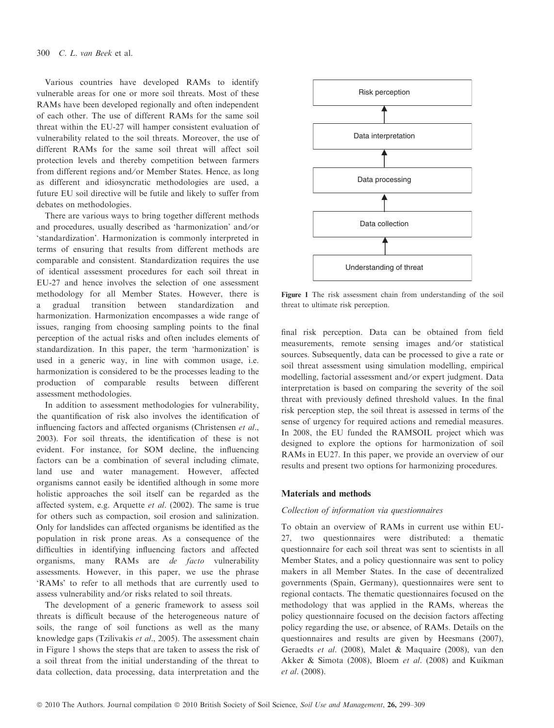Various countries have developed RAMs to identify vulnerable areas for one or more soil threats. Most of these RAMs have been developed regionally and often independent of each other. The use of different RAMs for the same soil threat within the EU-27 will hamper consistent evaluation of vulnerability related to the soil threats. Moreover, the use of different RAMs for the same soil threat will affect soil protection levels and thereby competition between farmers from different regions and/or Member States. Hence, as long as different and idiosyncratic methodologies are used, a future EU soil directive will be futile and likely to suffer from debates on methodologies.

There are various ways to bring together different methods and procedures, usually described as 'harmonization' and/or 'standardization'. Harmonization is commonly interpreted in terms of ensuring that results from different methods are comparable and consistent. Standardization requires the use of identical assessment procedures for each soil threat in EU-27 and hence involves the selection of one assessment methodology for all Member States. However, there is a gradual transition between standardization and harmonization. Harmonization encompasses a wide range of issues, ranging from choosing sampling points to the final perception of the actual risks and often includes elements of standardization. In this paper, the term 'harmonization' is used in a generic way, in line with common usage, i.e. harmonization is considered to be the processes leading to the production of comparable results between different assessment methodologies.

In addition to assessment methodologies for vulnerability, the quantification of risk also involves the identification of influencing factors and affected organisms (Christensen et al., 2003). For soil threats, the identification of these is not evident. For instance, for SOM decline, the influencing factors can be a combination of several including climate, land use and water management. However, affected organisms cannot easily be identified although in some more holistic approaches the soil itself can be regarded as the affected system, e.g. Arquette et al. (2002). The same is true for others such as compaction, soil erosion and salinization. Only for landslides can affected organisms be identified as the population in risk prone areas. As a consequence of the difficulties in identifying influencing factors and affected organisms, many RAMs are de facto vulnerability assessments. However, in this paper, we use the phrase 'RAMs' to refer to all methods that are currently used to assess vulnerability and ⁄ or risks related to soil threats.

The development of a generic framework to assess soil threats is difficult because of the heterogeneous nature of soils, the range of soil functions as well as the many knowledge gaps (Tzilivakis et al., 2005). The assessment chain in Figure 1 shows the steps that are taken to assess the risk of a soil threat from the initial understanding of the threat to data collection, data processing, data interpretation and the



Figure 1 The risk assessment chain from understanding of the soil threat to ultimate risk perception.

final risk perception. Data can be obtained from field measurements, remote sensing images and/or statistical sources. Subsequently, data can be processed to give a rate or soil threat assessment using simulation modelling, empirical modelling, factorial assessment and ⁄ or expert judgment. Data interpretation is based on comparing the severity of the soil threat with previously defined threshold values. In the final risk perception step, the soil threat is assessed in terms of the sense of urgency for required actions and remedial measures. In 2008, the EU funded the RAMSOIL project which was designed to explore the options for harmonization of soil RAMs in EU27. In this paper, we provide an overview of our results and present two options for harmonizing procedures.

#### Materials and methods

#### Collection of information via questionnaires

To obtain an overview of RAMs in current use within EU-27, two questionnaires were distributed: a thematic questionnaire for each soil threat was sent to scientists in all Member States, and a policy questionnaire was sent to policy makers in all Member States. In the case of decentralized governments (Spain, Germany), questionnaires were sent to regional contacts. The thematic questionnaires focused on the methodology that was applied in the RAMs, whereas the policy questionnaire focused on the decision factors affecting policy regarding the use, or absence, of RAMs. Details on the questionnaires and results are given by Heesmans (2007), Geraedts et al. (2008), Malet & Maquaire (2008), van den Akker & Simota (2008), Bloem et al. (2008) and Kuikman et al. (2008).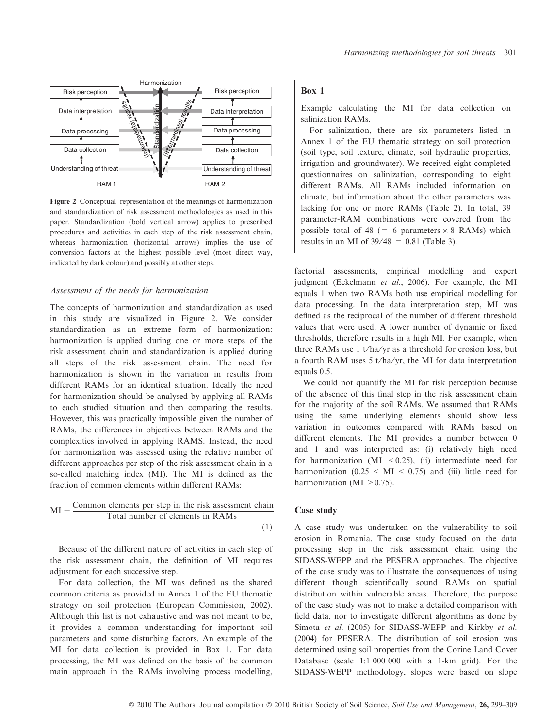

Figure 2 Conceptual representation of the meanings of harmonization and standardization of risk assessment methodologies as used in this paper. Standardization (bold vertical arrow) applies to prescribed procedures and activities in each step of the risk assessment chain, whereas harmonization (horizontal arrows) implies the use of conversion factors at the highest possible level (most direct way, indicated by dark colour) and possibly at other steps.

#### Assessment of the needs for harmonization

The concepts of harmonization and standardization as used in this study are visualized in Figure 2. We consider standardization as an extreme form of harmonization: harmonization is applied during one or more steps of the risk assessment chain and standardization is applied during all steps of the risk assessment chain. The need for harmonization is shown in the variation in results from different RAMs for an identical situation. Ideally the need for harmonization should be analysed by applying all RAMs to each studied situation and then comparing the results. However, this was practically impossible given the number of RAMs, the differences in objectives between RAMs and the complexities involved in applying RAMS. Instead, the need for harmonization was assessed using the relative number of different approaches per step of the risk assessment chain in a so-called matching index (MI). The MI is defined as the fraction of common elements within different RAMs:

$$
MI = \frac{Common elements per step in the risk assessment chain}{Total number of elements in RAMs}
$$
\n(1)

Because of the different nature of activities in each step of the risk assessment chain, the definition of MI requires adjustment for each successive step.

For data collection, the MI was defined as the shared common criteria as provided in Annex 1 of the EU thematic strategy on soil protection (European Commission, 2002). Although this list is not exhaustive and was not meant to be, it provides a common understanding for important soil parameters and some disturbing factors. An example of the MI for data collection is provided in Box 1. For data processing, the MI was defined on the basis of the common main approach in the RAMs involving process modelling,

#### Box 1

Example calculating the MI for data collection on salinization RAMs.

For salinization, there are six parameters listed in Annex 1 of the EU thematic strategy on soil protection (soil type, soil texture, climate, soil hydraulic properties, irrigation and groundwater). We received eight completed questionnaires on salinization, corresponding to eight different RAMs. All RAMs included information on climate, but information about the other parameters was lacking for one or more RAMs (Table 2). In total, 39 parameter-RAM combinations were covered from the possible total of 48 (= 6 parameters  $\times$  8 RAMs) which results in an MI of  $39/48 = 0.81$  (Table 3).

factorial assessments, empirical modelling and expert judgment (Eckelmann et al., 2006). For example, the MI equals 1 when two RAMs both use empirical modelling for data processing. In the data interpretation step, MI was defined as the reciprocal of the number of different threshold values that were used. A lower number of dynamic or fixed thresholds, therefore results in a high MI. For example, when three RAMs use  $1 \frac{t}{\text{a}}$  yr as a threshold for erosion loss, but a fourth RAM uses 5 t/ha/yr, the MI for data interpretation equals 0.5.

We could not quantify the MI for risk perception because of the absence of this final step in the risk assessment chain for the majority of the soil RAMs. We assumed that RAMs using the same underlying elements should show less variation in outcomes compared with RAMs based on different elements. The MI provides a number between 0 and 1 and was interpreted as: (i) relatively high need for harmonization (MI  $< 0.25$ ), (ii) intermediate need for harmonization ( $0.25 \leq M I \leq 0.75$ ) and (iii) little need for harmonization (MI  $> 0.75$ ).

## Case study

A case study was undertaken on the vulnerability to soil erosion in Romania. The case study focused on the data processing step in the risk assessment chain using the SIDASS-WEPP and the PESERA approaches. The objective of the case study was to illustrate the consequences of using different though scientifically sound RAMs on spatial distribution within vulnerable areas. Therefore, the purpose of the case study was not to make a detailed comparison with field data, nor to investigate different algorithms as done by Simota et al. (2005) for SIDASS-WEPP and Kirkby et al. (2004) for PESERA. The distribution of soil erosion was determined using soil properties from the Corine Land Cover Database (scale 1:1 000 000 with a 1-km grid). For the SIDASS-WEPP methodology, slopes were based on slope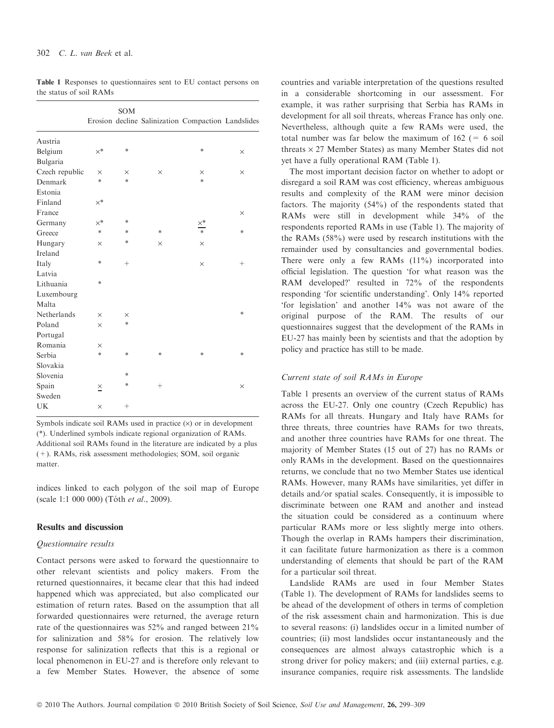|                |               | <b>SOM</b> |               | Erosion decline Salinization Compaction Landslides |          |
|----------------|---------------|------------|---------------|----------------------------------------------------|----------|
| Austria        |               |            |               |                                                    |          |
| Belgium        | $\times^*$    | *          |               | $*$                                                | ×        |
| Bulgaria       |               |            |               |                                                    |          |
| Czech republic | ×             | $\times$   | ×             | ×                                                  | $\times$ |
| Denmark        | $\frac{1}{2}$ | $\ast$     |               | $\frac{1}{2}$                                      |          |
| Estonia        |               |            |               |                                                    |          |
| Finland        | $\times^*$    |            |               |                                                    |          |
| France         |               |            |               |                                                    | ×        |
| Germany        | $\times^*$    | $*$        |               | $\times^*$                                         |          |
| Greece         | $\frac{1}{2}$ | *          | $\frac{1}{2}$ | $*$                                                | *        |
| Hungary        | ×             | *          | ×             | $\times$                                           |          |
| Ireland        |               |            |               |                                                    |          |
| Italy          | *             | $^{+}$     |               | ×                                                  | $^{+}$   |
| Latvia         |               |            |               |                                                    |          |
| Lithuania      | *             |            |               |                                                    |          |
| Luxembourg     |               |            |               |                                                    |          |
| Malta          |               |            |               |                                                    |          |
| Netherlands    | $\times$      | $\times$   |               |                                                    | *        |
| Poland         | $\times$      | $*$        |               |                                                    |          |
| Portugal       |               |            |               |                                                    |          |
| Romania        | $\times$      |            |               |                                                    |          |
| Serbia         | $\ast$        | *          | *             | *                                                  | *        |
| Slovakia       |               |            |               |                                                    |          |
| Slovenia       |               | *          |               |                                                    |          |
| Spain          | $\geq$        | $*$        | $^{+}$        |                                                    | ×        |
| Sweden         |               |            |               |                                                    |          |
| UK             | $\times$      | $^{+}$     |               |                                                    |          |

Table 1 Responses to questionnaires sent to EU contact persons on the status of soil RAMs

Symbols indicate soil RAMs used in practice  $(x)$  or in development (\*). Underlined symbols indicate regional organization of RAMs. Additional soil RAMs found in the literature are indicated by a plus (+). RAMs, risk assessment methodologies; SOM, soil organic matter.

indices linked to each polygon of the soil map of Europe (scale 1:1 000 000) (Tóth et al., 2009).

# Results and discussion

### Questionnaire results

Contact persons were asked to forward the questionnaire to other relevant scientists and policy makers. From the returned questionnaires, it became clear that this had indeed happened which was appreciated, but also complicated our estimation of return rates. Based on the assumption that all forwarded questionnaires were returned, the average return rate of the questionnaires was 52% and ranged between 21% for salinization and 58% for erosion. The relatively low response for salinization reflects that this is a regional or local phenomenon in EU-27 and is therefore only relevant to a few Member States. However, the absence of some countries and variable interpretation of the questions resulted in a considerable shortcoming in our assessment. For example, it was rather surprising that Serbia has RAMs in development for all soil threats, whereas France has only one. Nevertheless, although quite a few RAMs were used, the total number was far below the maximum of  $162$  (= 6 soil threats  $\times$  27 Member States) as many Member States did not yet have a fully operational RAM (Table 1).

The most important decision factor on whether to adopt or disregard a soil RAM was cost efficiency, whereas ambiguous results and complexity of the RAM were minor decision factors. The majority (54%) of the respondents stated that RAMs were still in development while 34% of the respondents reported RAMs in use (Table 1). The majority of the RAMs (58%) were used by research institutions with the remainder used by consultancies and governmental bodies. There were only a few RAMs  $(11\%)$  incorporated into official legislation. The question 'for what reason was the RAM developed?' resulted in 72% of the respondents responding 'for scientific understanding'. Only 14% reported 'for legislation' and another 14% was not aware of the original purpose of the RAM. The results of our questionnaires suggest that the development of the RAMs in EU-27 has mainly been by scientists and that the adoption by policy and practice has still to be made.

## Current state of soil RAMs in Europe

Table 1 presents an overview of the current status of RAMs across the EU-27. Only one country (Czech Republic) has RAMs for all threats. Hungary and Italy have RAMs for three threats, three countries have RAMs for two threats, and another three countries have RAMs for one threat. The majority of Member States (15 out of 27) has no RAMs or only RAMs in the development. Based on the questionnaires returns, we conclude that no two Member States use identical RAMs. However, many RAMs have similarities, yet differ in details and/or spatial scales. Consequently, it is impossible to discriminate between one RAM and another and instead the situation could be considered as a continuum where particular RAMs more or less slightly merge into others. Though the overlap in RAMs hampers their discrimination, it can facilitate future harmonization as there is a common understanding of elements that should be part of the RAM for a particular soil threat.

Landslide RAMs are used in four Member States (Table 1). The development of RAMs for landslides seems to be ahead of the development of others in terms of completion of the risk assessment chain and harmonization. This is due to several reasons: (i) landslides occur in a limited number of countries; (ii) most landslides occur instantaneously and the consequences are almost always catastrophic which is a strong driver for policy makers; and (iii) external parties, e.g. insurance companies, require risk assessments. The landslide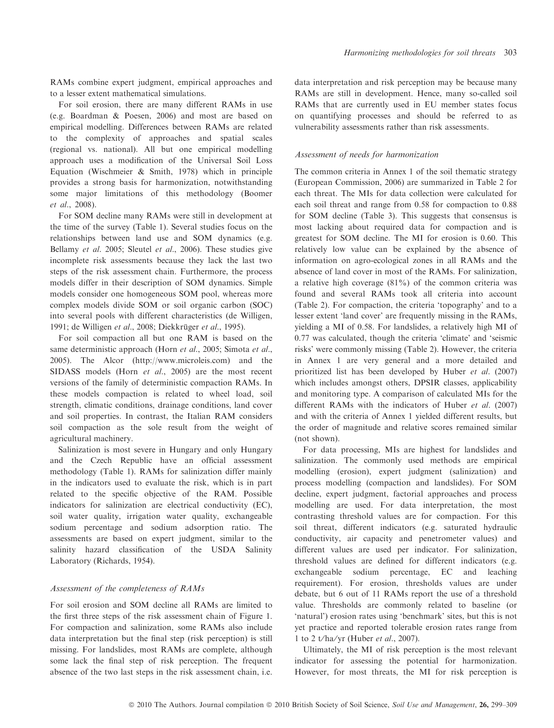RAMs combine expert judgment, empirical approaches and to a lesser extent mathematical simulations.

For soil erosion, there are many different RAMs in use (e.g. Boardman & Poesen, 2006) and most are based on empirical modelling. Differences between RAMs are related to the complexity of approaches and spatial scales (regional vs. national). All but one empirical modelling approach uses a modification of the Universal Soil Loss Equation (Wischmeier & Smith, 1978) which in principle provides a strong basis for harmonization, notwithstanding some major limitations of this methodology (Boomer et al., 2008).

For SOM decline many RAMs were still in development at the time of the survey (Table 1). Several studies focus on the relationships between land use and SOM dynamics (e.g. Bellamy et al. 2005; Sleutel et al., 2006). These studies give incomplete risk assessments because they lack the last two steps of the risk assessment chain. Furthermore, the process models differ in their description of SOM dynamics. Simple models consider one homogeneous SOM pool, whereas more complex models divide SOM or soil organic carbon (SOC) into several pools with different characteristics (de Willigen, 1991; de Willigen et al., 2008; Diekkrüger et al., 1995).

For soil compaction all but one RAM is based on the same deterministic approach (Horn et al., 2005; Simota et al., 2005). The Alcor (http://www.microleis.com) and the SIDASS models (Horn et al., 2005) are the most recent versions of the family of deterministic compaction RAMs. In these models compaction is related to wheel load, soil strength, climatic conditions, drainage conditions, land cover and soil properties. In contrast, the Italian RAM considers soil compaction as the sole result from the weight of agricultural machinery.

Salinization is most severe in Hungary and only Hungary and the Czech Republic have an official assessment methodology (Table 1). RAMs for salinization differ mainly in the indicators used to evaluate the risk, which is in part related to the specific objective of the RAM. Possible indicators for salinization are electrical conductivity (EC), soil water quality, irrigation water quality, exchangeable sodium percentage and sodium adsorption ratio. The assessments are based on expert judgment, similar to the salinity hazard classification of the USDA Salinity Laboratory (Richards, 1954).

## Assessment of the completeness of RAMs

For soil erosion and SOM decline all RAMs are limited to the first three steps of the risk assessment chain of Figure 1. For compaction and salinization, some RAMs also include data interpretation but the final step (risk perception) is still missing. For landslides, most RAMs are complete, although some lack the final step of risk perception. The frequent absence of the two last steps in the risk assessment chain, i.e.

data interpretation and risk perception may be because many RAMs are still in development. Hence, many so-called soil RAMs that are currently used in EU member states focus on quantifying processes and should be referred to as vulnerability assessments rather than risk assessments.

#### Assessment of needs for harmonization

The common criteria in Annex 1 of the soil thematic strategy (European Commission, 2006) are summarized in Table 2 for each threat. The MIs for data collection were calculated for each soil threat and range from 0.58 for compaction to 0.88 for SOM decline (Table 3). This suggests that consensus is most lacking about required data for compaction and is greatest for SOM decline. The MI for erosion is 0.60. This relatively low value can be explained by the absence of information on agro-ecological zones in all RAMs and the absence of land cover in most of the RAMs. For salinization, a relative high coverage (81%) of the common criteria was found and several RAMs took all criteria into account (Table 2). For compaction, the criteria 'topography' and to a lesser extent 'land cover' are frequently missing in the RAMs, yielding a MI of 0.58. For landslides, a relatively high MI of 0.77 was calculated, though the criteria 'climate' and 'seismic risks' were commonly missing (Table 2). However, the criteria in Annex 1 are very general and a more detailed and prioritized list has been developed by Huber et al. (2007) which includes amongst others, DPSIR classes, applicability and monitoring type. A comparison of calculated MIs for the different RAMs with the indicators of Huber et al. (2007) and with the criteria of Annex 1 yielded different results, but the order of magnitude and relative scores remained similar (not shown).

For data processing, MIs are highest for landslides and salinization. The commonly used methods are empirical modelling (erosion), expert judgment (salinization) and process modelling (compaction and landslides). For SOM decline, expert judgment, factorial approaches and process modelling are used. For data interpretation, the most contrasting threshold values are for compaction. For this soil threat, different indicators (e.g. saturated hydraulic conductivity, air capacity and penetrometer values) and different values are used per indicator. For salinization, threshold values are defined for different indicators (e.g. exchangeable sodium percentage, EC and leaching requirement). For erosion, thresholds values are under debate, but 6 out of 11 RAMs report the use of a threshold value. Thresholds are commonly related to baseline (or 'natural') erosion rates using 'benchmark' sites, but this is not yet practice and reported tolerable erosion rates range from 1 to 2 t/ha/yr (Huber et al., 2007).

Ultimately, the MI of risk perception is the most relevant indicator for assessing the potential for harmonization. However, for most threats, the MI for risk perception is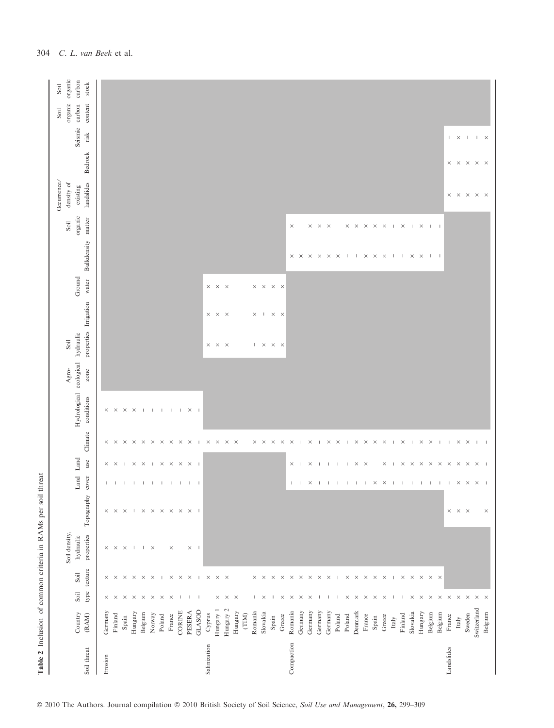|              | Country           | Soil                                                 | Soil                                         | Soil density,<br>hydraulic           |                       | Land                            | Land                                                                                                                                                                                                                                                                                               |                                                                                                                                                                                                                                                                                                                                                                                                                    | Hydrological                                                                                                                                                                           | ecological<br>Agro- | hydraulic<br>Soil                                               |                     | Ground                              |                                   | organic<br>Soil        | Occurrence/<br>density of<br>existing                                                                                                                                                                                                                                                                                                                                                                |                                                                                                                                                                                                                                                                                                                                                                                                      | Seismic          | organic<br>carbon<br>Soil | organic<br>carbon<br>Soil |
|--------------|-------------------|------------------------------------------------------|----------------------------------------------|--------------------------------------|-----------------------|---------------------------------|----------------------------------------------------------------------------------------------------------------------------------------------------------------------------------------------------------------------------------------------------------------------------------------------------|--------------------------------------------------------------------------------------------------------------------------------------------------------------------------------------------------------------------------------------------------------------------------------------------------------------------------------------------------------------------------------------------------------------------|----------------------------------------------------------------------------------------------------------------------------------------------------------------------------------------|---------------------|-----------------------------------------------------------------|---------------------|-------------------------------------|-----------------------------------|------------------------|------------------------------------------------------------------------------------------------------------------------------------------------------------------------------------------------------------------------------------------------------------------------------------------------------------------------------------------------------------------------------------------------------|------------------------------------------------------------------------------------------------------------------------------------------------------------------------------------------------------------------------------------------------------------------------------------------------------------------------------------------------------------------------------------------------------|------------------|---------------------------|---------------------------|
| Soil threat  | $(\mathrm{RAM})$  | type                                                 | texture                                      | properties                           | Topography            | cover                           | use                                                                                                                                                                                                                                                                                                | Climate                                                                                                                                                                                                                                                                                                                                                                                                            | conditions                                                                                                                                                                             | zone                | properties Irrigation                                           |                     | water                               | Bulkdensity                       | matter                 | landslides                                                                                                                                                                                                                                                                                                                                                                                           | <b>Bedrock</b>                                                                                                                                                                                                                                                                                                                                                                                       | risk             | content                   | stock                     |
| Erosion      | Germany           | $\times$                                             | $\times$                                     | $\times$                             |                       |                                 | $\times$                                                                                                                                                                                                                                                                                           | $\times$                                                                                                                                                                                                                                                                                                                                                                                                           |                                                                                                                                                                                        |                     |                                                                 |                     |                                     |                                   |                        |                                                                                                                                                                                                                                                                                                                                                                                                      |                                                                                                                                                                                                                                                                                                                                                                                                      |                  |                           |                           |
|              | Finland           | $\times$                                             | $\times$                                     | $\times$                             | $\times$ $\times$     |                                 | $\times$                                                                                                                                                                                                                                                                                           |                                                                                                                                                                                                                                                                                                                                                                                                                    |                                                                                                                                                                                        |                     |                                                                 |                     |                                     |                                   |                        |                                                                                                                                                                                                                                                                                                                                                                                                      |                                                                                                                                                                                                                                                                                                                                                                                                      |                  |                           |                           |
|              | Spain             | $\times$                                             | $\times$                                     | $\times$                             | $\boldsymbol{\times}$ |                                 | $\mathbf{I}$                                                                                                                                                                                                                                                                                       | $\times\hspace{0.1cm} \times \hspace{0.1cm} \times \hspace{0.1cm} \times \hspace{0.1cm} \times \hspace{0.1cm} \times \hspace{0.1cm} \times \hspace{0.1cm} \times \hspace{0.1cm} \times \hspace{0.1cm} \hspace{0.1cm} \hspace{0.1cm} \hspace{0.1cm} \hspace{0.1cm} \hspace{0.1cm} \hspace{0.1cm} \hspace{0.1cm} \hspace{0.1cm} \hspace{0.1cm} \hspace{0.1cm} \hspace{0.1cm} \hspace{0.1cm} \hspace{0.1cm} \hspace{$ |                                                                                                                                                                                        |                     |                                                                 |                     |                                     |                                   |                        |                                                                                                                                                                                                                                                                                                                                                                                                      |                                                                                                                                                                                                                                                                                                                                                                                                      |                  |                           |                           |
|              | Hungary           | $\times$ $\times$ $\times$ $\times$ $\times$         | $\times$ $\times$ $\times$                   | $\mathbf{L}$                         |                       |                                 | $\times$ $\times$                                                                                                                                                                                                                                                                                  |                                                                                                                                                                                                                                                                                                                                                                                                                    |                                                                                                                                                                                        |                     |                                                                 |                     |                                     |                                   |                        |                                                                                                                                                                                                                                                                                                                                                                                                      |                                                                                                                                                                                                                                                                                                                                                                                                      |                  |                           |                           |
|              | Belgium           |                                                      |                                              | $\mathbf{I}$                         |                       |                                 |                                                                                                                                                                                                                                                                                                    |                                                                                                                                                                                                                                                                                                                                                                                                                    |                                                                                                                                                                                        |                     |                                                                 |                     |                                     |                                   |                        |                                                                                                                                                                                                                                                                                                                                                                                                      |                                                                                                                                                                                                                                                                                                                                                                                                      |                  |                           |                           |
|              | Norway            |                                                      |                                              | $\times$                             |                       |                                 | $\mathbf{L}$                                                                                                                                                                                                                                                                                       |                                                                                                                                                                                                                                                                                                                                                                                                                    |                                                                                                                                                                                        |                     |                                                                 |                     |                                     |                                   |                        |                                                                                                                                                                                                                                                                                                                                                                                                      |                                                                                                                                                                                                                                                                                                                                                                                                      |                  |                           |                           |
|              | Poland            |                                                      | $\mathbb{R}$                                 |                                      |                       |                                 |                                                                                                                                                                                                                                                                                                    |                                                                                                                                                                                                                                                                                                                                                                                                                    |                                                                                                                                                                                        |                     |                                                                 |                     |                                     |                                   |                        |                                                                                                                                                                                                                                                                                                                                                                                                      |                                                                                                                                                                                                                                                                                                                                                                                                      |                  |                           |                           |
|              | France            |                                                      | $\times$ $\times$ $\times$                   | $\times$                             | 1 x x x x x x         |                                 |                                                                                                                                                                                                                                                                                                    |                                                                                                                                                                                                                                                                                                                                                                                                                    |                                                                                                                                                                                        |                     |                                                                 |                     |                                     |                                   |                        |                                                                                                                                                                                                                                                                                                                                                                                                      |                                                                                                                                                                                                                                                                                                                                                                                                      |                  |                           |                           |
|              | CORINE            | $\mathbf{I}$                                         |                                              |                                      |                       |                                 |                                                                                                                                                                                                                                                                                                    |                                                                                                                                                                                                                                                                                                                                                                                                                    |                                                                                                                                                                                        |                     |                                                                 |                     |                                     |                                   |                        |                                                                                                                                                                                                                                                                                                                                                                                                      |                                                                                                                                                                                                                                                                                                                                                                                                      |                  |                           |                           |
|              | GLASOD<br>PESERA  | $\overline{\phantom{a}}$<br>$\overline{\phantom{a}}$ |                                              | $\times$<br>$\overline{\phantom{0}}$ | $\blacksquare$        | 1 1 1 1 1 1 1 1 1 1 1 1         | $X$ $X$ $X$ $X$                                                                                                                                                                                                                                                                                    | $\mathbf{I}$                                                                                                                                                                                                                                                                                                                                                                                                       | $\mathsf{X} \quad \mathsf{X} \quad \mathsf{X} \quad \mathsf{X} \quad \mathsf{I} \quad \mathsf{I} \quad \mathsf{I} \quad \mathsf{I} \quad \mathsf{I} \quad \mathsf{X} \quad \mathsf{I}$ |                     |                                                                 |                     |                                     |                                   |                        |                                                                                                                                                                                                                                                                                                                                                                                                      |                                                                                                                                                                                                                                                                                                                                                                                                      |                  |                           |                           |
| Salinization | Cyprus            |                                                      | $\mathbf{I}$                                 |                                      |                       |                                 |                                                                                                                                                                                                                                                                                                    | $\times$                                                                                                                                                                                                                                                                                                                                                                                                           |                                                                                                                                                                                        |                     |                                                                 |                     |                                     |                                   |                        |                                                                                                                                                                                                                                                                                                                                                                                                      |                                                                                                                                                                                                                                                                                                                                                                                                      |                  |                           |                           |
|              | Hungary 1         |                                                      |                                              |                                      |                       |                                 |                                                                                                                                                                                                                                                                                                    |                                                                                                                                                                                                                                                                                                                                                                                                                    |                                                                                                                                                                                        |                     |                                                                 | $\times$            |                                     |                                   |                        |                                                                                                                                                                                                                                                                                                                                                                                                      |                                                                                                                                                                                                                                                                                                                                                                                                      |                  |                           |                           |
|              | Hungary 2         | $\times~\times~\times$                               | $X \times X \times I$                        |                                      |                       |                                 |                                                                                                                                                                                                                                                                                                    | $\times$ $\times$ $\times$                                                                                                                                                                                                                                                                                                                                                                                         |                                                                                                                                                                                        |                     | $\mathsf{X} \quad \mathsf{X} \quad \mathsf{X} \quad \mathsf{I}$ | $\times$ $\times$ 1 | $\times$ $\times$ $\times$ $\times$ |                                   |                        |                                                                                                                                                                                                                                                                                                                                                                                                      |                                                                                                                                                                                                                                                                                                                                                                                                      |                  |                           |                           |
|              | Hungary           |                                                      |                                              |                                      |                       |                                 |                                                                                                                                                                                                                                                                                                    |                                                                                                                                                                                                                                                                                                                                                                                                                    |                                                                                                                                                                                        |                     |                                                                 |                     |                                     |                                   |                        |                                                                                                                                                                                                                                                                                                                                                                                                      |                                                                                                                                                                                                                                                                                                                                                                                                      |                  |                           |                           |
|              | $(TIM)$           |                                                      |                                              |                                      |                       |                                 |                                                                                                                                                                                                                                                                                                    |                                                                                                                                                                                                                                                                                                                                                                                                                    |                                                                                                                                                                                        |                     |                                                                 |                     |                                     |                                   |                        |                                                                                                                                                                                                                                                                                                                                                                                                      |                                                                                                                                                                                                                                                                                                                                                                                                      |                  |                           |                           |
|              | Romania           | Τ.                                                   |                                              |                                      |                       |                                 |                                                                                                                                                                                                                                                                                                    |                                                                                                                                                                                                                                                                                                                                                                                                                    |                                                                                                                                                                                        |                     |                                                                 |                     |                                     |                                   |                        |                                                                                                                                                                                                                                                                                                                                                                                                      |                                                                                                                                                                                                                                                                                                                                                                                                      |                  |                           |                           |
|              | Slovakia          | $\times$                                             | $\times$ $~\times$                           |                                      |                       |                                 |                                                                                                                                                                                                                                                                                                    | $\times~\times~\times$                                                                                                                                                                                                                                                                                                                                                                                             |                                                                                                                                                                                        |                     | $1 \times X \times X$                                           | $\times$ 1          | $\times~\times~\times~\times$       |                                   |                        |                                                                                                                                                                                                                                                                                                                                                                                                      |                                                                                                                                                                                                                                                                                                                                                                                                      |                  |                           |                           |
|              | Spain             | $\mathbf{I}$                                         | $\times$                                     |                                      |                       |                                 |                                                                                                                                                                                                                                                                                                    |                                                                                                                                                                                                                                                                                                                                                                                                                    |                                                                                                                                                                                        |                     |                                                                 | $\times$ $\times$   |                                     |                                   |                        |                                                                                                                                                                                                                                                                                                                                                                                                      |                                                                                                                                                                                                                                                                                                                                                                                                      |                  |                           |                           |
|              | Greece            | $\times$                                             |                                              |                                      |                       |                                 |                                                                                                                                                                                                                                                                                                    | $\times$ $\times$                                                                                                                                                                                                                                                                                                                                                                                                  |                                                                                                                                                                                        |                     |                                                                 |                     |                                     |                                   |                        |                                                                                                                                                                                                                                                                                                                                                                                                      |                                                                                                                                                                                                                                                                                                                                                                                                      |                  |                           |                           |
| Compaction   | Romania           | $\mathsf{X}$                                         |                                              |                                      |                       | $\mathbf{L}$                    | $\times$                                                                                                                                                                                                                                                                                           |                                                                                                                                                                                                                                                                                                                                                                                                                    |                                                                                                                                                                                        |                     |                                                                 |                     |                                     |                                   | $\times$               |                                                                                                                                                                                                                                                                                                                                                                                                      |                                                                                                                                                                                                                                                                                                                                                                                                      |                  |                           |                           |
|              | Germany           | $\times$ $\times$                                    |                                              |                                      |                       | $\mathbf{L}$                    | -1                                                                                                                                                                                                                                                                                                 | -11                                                                                                                                                                                                                                                                                                                                                                                                                |                                                                                                                                                                                        |                     |                                                                 |                     |                                     |                                   |                        |                                                                                                                                                                                                                                                                                                                                                                                                      |                                                                                                                                                                                                                                                                                                                                                                                                      |                  |                           |                           |
|              | Germany           |                                                      |                                              |                                      |                       | $\times$ 1                      | $\times$                                                                                                                                                                                                                                                                                           | $\times$                                                                                                                                                                                                                                                                                                                                                                                                           |                                                                                                                                                                                        |                     |                                                                 |                     |                                     |                                   |                        |                                                                                                                                                                                                                                                                                                                                                                                                      |                                                                                                                                                                                                                                                                                                                                                                                                      |                  |                           |                           |
|              | Germany           | $\mathbf{I}$                                         |                                              |                                      |                       |                                 | $\mathbf{I}$                                                                                                                                                                                                                                                                                       | -11                                                                                                                                                                                                                                                                                                                                                                                                                |                                                                                                                                                                                        |                     |                                                                 |                     |                                     |                                   | $\times~\times~\times$ |                                                                                                                                                                                                                                                                                                                                                                                                      |                                                                                                                                                                                                                                                                                                                                                                                                      |                  |                           |                           |
|              | Germany<br>Poland | $\perp$<br>-1                                        |                                              |                                      |                       | - 11<br>$\mathbf{I}$            | -1                                                                                                                                                                                                                                                                                                 | $\times$ $~\times$                                                                                                                                                                                                                                                                                                                                                                                                 |                                                                                                                                                                                        |                     |                                                                 |                     |                                     |                                   |                        |                                                                                                                                                                                                                                                                                                                                                                                                      |                                                                                                                                                                                                                                                                                                                                                                                                      |                  |                           |                           |
|              |                   |                                                      |                                              |                                      |                       |                                 | $\mathbf{I}$                                                                                                                                                                                                                                                                                       |                                                                                                                                                                                                                                                                                                                                                                                                                    |                                                                                                                                                                                        |                     |                                                                 |                     |                                     |                                   |                        |                                                                                                                                                                                                                                                                                                                                                                                                      |                                                                                                                                                                                                                                                                                                                                                                                                      |                  |                           |                           |
|              | Denmark<br>Poland | $\times$<br>$\boldsymbol{\times}$                    |                                              |                                      |                       |                                 | $\times$<br>т.                                                                                                                                                                                                                                                                                     | $\times$<br>$\mathbf{L}$                                                                                                                                                                                                                                                                                                                                                                                           |                                                                                                                                                                                        |                     |                                                                 |                     |                                     |                                   |                        |                                                                                                                                                                                                                                                                                                                                                                                                      |                                                                                                                                                                                                                                                                                                                                                                                                      |                  |                           |                           |
|              | France            | $\times$                                             |                                              |                                      |                       |                                 | $\times$                                                                                                                                                                                                                                                                                           |                                                                                                                                                                                                                                                                                                                                                                                                                    |                                                                                                                                                                                        |                     |                                                                 |                     |                                     |                                   |                        |                                                                                                                                                                                                                                                                                                                                                                                                      |                                                                                                                                                                                                                                                                                                                                                                                                      |                  |                           |                           |
|              | Spain             | $\boldsymbol{\times}$                                | <b>x x x x x x + x x x x x x + x x x x x</b> |                                      |                       | 1 1 1 X X 1 1 1 1 1 1 1 X X X 1 |                                                                                                                                                                                                                                                                                                    | $\times$ $\times$ $\times$                                                                                                                                                                                                                                                                                                                                                                                         |                                                                                                                                                                                        |                     |                                                                 |                     |                                     | $X X X X X X X I I X X X I I X X$ |                        |                                                                                                                                                                                                                                                                                                                                                                                                      |                                                                                                                                                                                                                                                                                                                                                                                                      |                  |                           |                           |
|              | Greece            | $\boldsymbol{\times}$                                |                                              |                                      |                       |                                 | $\times$                                                                                                                                                                                                                                                                                           |                                                                                                                                                                                                                                                                                                                                                                                                                    |                                                                                                                                                                                        |                     |                                                                 |                     |                                     |                                   |                        |                                                                                                                                                                                                                                                                                                                                                                                                      |                                                                                                                                                                                                                                                                                                                                                                                                      |                  |                           |                           |
|              | Italy             | $\mathbf{I}$                                         |                                              |                                      |                       |                                 | л.                                                                                                                                                                                                                                                                                                 |                                                                                                                                                                                                                                                                                                                                                                                                                    |                                                                                                                                                                                        |                     |                                                                 |                     |                                     |                                   |                        |                                                                                                                                                                                                                                                                                                                                                                                                      |                                                                                                                                                                                                                                                                                                                                                                                                      |                  |                           |                           |
|              | Finland           | $\mathbf{I}$                                         |                                              |                                      |                       |                                 |                                                                                                                                                                                                                                                                                                    | $\mathsf{I} \times \mathsf{I}$                                                                                                                                                                                                                                                                                                                                                                                     |                                                                                                                                                                                        |                     |                                                                 |                     |                                     |                                   |                        |                                                                                                                                                                                                                                                                                                                                                                                                      |                                                                                                                                                                                                                                                                                                                                                                                                      |                  |                           |                           |
|              | Slovakia          | $\times$                                             |                                              |                                      |                       |                                 | $\times\hspace{0.1cm} \times \hspace{0.1cm} \times \hspace{0.1cm} \hspace{0.1cm} \hspace{0.1cm} \hspace{0.1cm} \hspace{0.1cm} \hspace{0.1cm} \hspace{0.1cm} \hspace{0.1cm} \hspace{0.1cm} \hspace{0.1cm} \hspace{0.1cm} \hspace{0.1cm} \hspace{0.1cm} \hspace{0.1cm} \hspace{0.1cm}\hspace{0.1cm}$ |                                                                                                                                                                                                                                                                                                                                                                                                                    |                                                                                                                                                                                        |                     |                                                                 |                     |                                     |                                   |                        |                                                                                                                                                                                                                                                                                                                                                                                                      |                                                                                                                                                                                                                                                                                                                                                                                                      |                  |                           |                           |
|              | Hungary           | $\mathord{\times}$                                   |                                              |                                      |                       |                                 |                                                                                                                                                                                                                                                                                                    | $\times$                                                                                                                                                                                                                                                                                                                                                                                                           |                                                                                                                                                                                        |                     |                                                                 |                     |                                     |                                   |                        |                                                                                                                                                                                                                                                                                                                                                                                                      |                                                                                                                                                                                                                                                                                                                                                                                                      |                  |                           |                           |
|              | Belgium           | $\times$                                             |                                              |                                      |                       |                                 | $\times$                                                                                                                                                                                                                                                                                           | $\times$                                                                                                                                                                                                                                                                                                                                                                                                           |                                                                                                                                                                                        |                     |                                                                 |                     |                                     | $\Box$                            |                        |                                                                                                                                                                                                                                                                                                                                                                                                      |                                                                                                                                                                                                                                                                                                                                                                                                      |                  |                           |                           |
|              | Belgium           | $\times$                                             |                                              |                                      |                       |                                 | $\times$                                                                                                                                                                                                                                                                                           | $\Box$                                                                                                                                                                                                                                                                                                                                                                                                             |                                                                                                                                                                                        |                     |                                                                 |                     |                                     |                                   |                        |                                                                                                                                                                                                                                                                                                                                                                                                      |                                                                                                                                                                                                                                                                                                                                                                                                      |                  |                           |                           |
| Landslides   | France            | $\times$                                             |                                              |                                      | $\times$              |                                 |                                                                                                                                                                                                                                                                                                    |                                                                                                                                                                                                                                                                                                                                                                                                                    |                                                                                                                                                                                        |                     |                                                                 |                     |                                     |                                   |                        |                                                                                                                                                                                                                                                                                                                                                                                                      |                                                                                                                                                                                                                                                                                                                                                                                                      | L                |                           |                           |
|              | Italy             | $\times$                                             |                                              |                                      | $\times$ $\times$     |                                 | X X X X I                                                                                                                                                                                                                                                                                          | $1 \times X + 1$                                                                                                                                                                                                                                                                                                                                                                                                   |                                                                                                                                                                                        |                     |                                                                 |                     |                                     |                                   |                        | $\times\hspace{0.1cm} \times \hspace{0.1cm} \times \hspace{0.1cm} \times \hspace{0.1cm} \times \hspace{0.1cm} \hspace{0.1cm} \hspace{0.1cm} \hspace{0.1cm} \hspace{0.1cm} \hspace{0.1cm} \hspace{0.1cm} \hspace{0.1cm} \hspace{0.1cm} \hspace{0.1cm} \hspace{0.1cm} \hspace{0.1cm} \hspace{0.1cm} \hspace{0.1cm} \hspace{0.1cm} \hspace{0.1cm} \hspace{0.1cm} \hspace{0.1cm} \hspace{0.1cm} \hspace$ | $\times\hspace{0.1cm} \times \hspace{0.1cm} \times \hspace{0.1cm} \times \hspace{0.1cm} \times \hspace{0.1cm} \hspace{0.1cm} \hspace{0.1cm} \hspace{0.1cm} \hspace{0.1cm} \hspace{0.1cm} \hspace{0.1cm} \hspace{0.1cm} \hspace{0.1cm} \hspace{0.1cm} \hspace{0.1cm} \hspace{0.1cm} \hspace{0.1cm} \hspace{0.1cm} \hspace{0.1cm} \hspace{0.1cm} \hspace{0.1cm} \hspace{0.1cm} \hspace{0.1cm} \hspace$ | $\times$         |                           |                           |
|              | Sweden            | $\times$                                             |                                              |                                      |                       |                                 |                                                                                                                                                                                                                                                                                                    |                                                                                                                                                                                                                                                                                                                                                                                                                    |                                                                                                                                                                                        |                     |                                                                 |                     |                                     |                                   |                        |                                                                                                                                                                                                                                                                                                                                                                                                      |                                                                                                                                                                                                                                                                                                                                                                                                      | $\mathbb{R}$     |                           |                           |
|              | Switzerland       | $\times$ $\times$                                    |                                              |                                      |                       |                                 |                                                                                                                                                                                                                                                                                                    |                                                                                                                                                                                                                                                                                                                                                                                                                    |                                                                                                                                                                                        |                     |                                                                 |                     |                                     |                                   |                        |                                                                                                                                                                                                                                                                                                                                                                                                      |                                                                                                                                                                                                                                                                                                                                                                                                      | $\perp$ $\times$ |                           |                           |
|              | Belgium           |                                                      |                                              |                                      | $\times$              |                                 |                                                                                                                                                                                                                                                                                                    |                                                                                                                                                                                                                                                                                                                                                                                                                    |                                                                                                                                                                                        |                     |                                                                 |                     |                                     |                                   |                        |                                                                                                                                                                                                                                                                                                                                                                                                      |                                                                                                                                                                                                                                                                                                                                                                                                      |                  |                           |                           |

Table 2 Inclusion of common criteria in RAMs per soil threat

Table 2 Inclusion of common criteria in RAMs per soil threat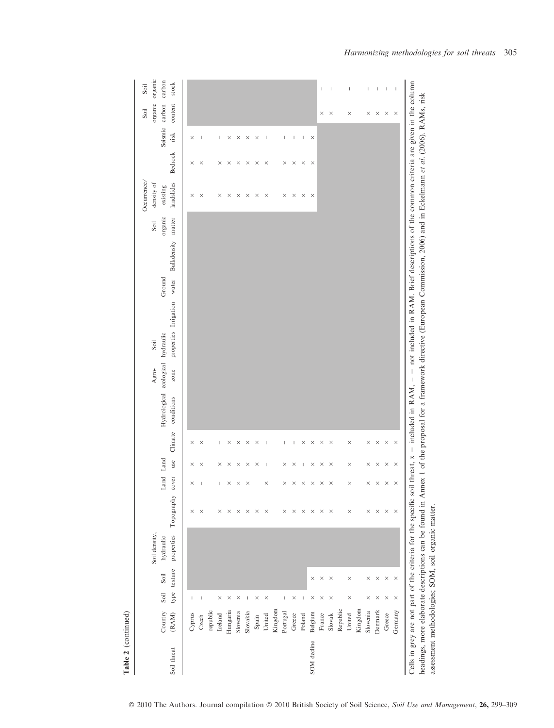| Table 2 (continued)                                 |                  |                          |                 |                                          |                                                                                                     |                    |                                                                                                                                                                                                                                                                                                                                                                                  |                                                                                                                                                                                                                                                                                                                                                                                  |                            |                                       |                               |                                                                                                                                                                                                                                                                              |                           |                                                     |                |                 |                                      |                                    |
|-----------------------------------------------------|------------------|--------------------------|-----------------|------------------------------------------|-----------------------------------------------------------------------------------------------------|--------------------|----------------------------------------------------------------------------------------------------------------------------------------------------------------------------------------------------------------------------------------------------------------------------------------------------------------------------------------------------------------------------------|----------------------------------------------------------------------------------------------------------------------------------------------------------------------------------------------------------------------------------------------------------------------------------------------------------------------------------------------------------------------------------|----------------------------|---------------------------------------|-------------------------------|------------------------------------------------------------------------------------------------------------------------------------------------------------------------------------------------------------------------------------------------------------------------------|---------------------------|-----------------------------------------------------|----------------|-----------------|--------------------------------------|------------------------------------|
| Soil threat                                         | Country<br>(RAM) | type<br>Soil             | texture<br>Soil | Soil density,<br>properties<br>hydraulic | Topography                                                                                          | Land Land<br>cover | use                                                                                                                                                                                                                                                                                                                                                                              | Climate                                                                                                                                                                                                                                                                                                                                                                          | Hydrological<br>conditions | ecological hydraulic<br>Agro-<br>zone | properties Irrigation<br>Soil | Bulkdensity<br>Ground<br>water                                                                                                                                                                                                                                               | organic<br>matter<br>Soil | Occurrence/<br>density of<br>landslides<br>existing | <b>Bedrock</b> | Seismic<br>risk | organic<br>carbon<br>content<br>Soil | organic<br>carbon<br>stock<br>Soil |
|                                                     | Cyprus           | L                        |                 |                                          | ×                                                                                                   | ×                  | ×                                                                                                                                                                                                                                                                                                                                                                                | ×                                                                                                                                                                                                                                                                                                                                                                                |                            |                                       |                               |                                                                                                                                                                                                                                                                              |                           | ×                                                   | ×              | ×               |                                      |                                    |
|                                                     | Czech            | I                        |                 |                                          | $\times$                                                                                            |                    | $\times$                                                                                                                                                                                                                                                                                                                                                                         | $\times$                                                                                                                                                                                                                                                                                                                                                                         |                            |                                       |                               |                                                                                                                                                                                                                                                                              |                           | $\times$                                            | $\times$       | I               |                                      |                                    |
|                                                     | republic         |                          |                 |                                          |                                                                                                     |                    |                                                                                                                                                                                                                                                                                                                                                                                  |                                                                                                                                                                                                                                                                                                                                                                                  |                            |                                       |                               |                                                                                                                                                                                                                                                                              |                           |                                                     |                |                 |                                      |                                    |
|                                                     | Ireland          | ×                        |                 |                                          | ×                                                                                                   | I.                 | $\times$                                                                                                                                                                                                                                                                                                                                                                         | $\vert$                                                                                                                                                                                                                                                                                                                                                                          |                            |                                       |                               |                                                                                                                                                                                                                                                                              |                           | $\times$                                            | ×              | T               |                                      |                                    |
|                                                     | Hungaria         | $\times$                 |                 |                                          | ×                                                                                                   | ×                  | $\times$                                                                                                                                                                                                                                                                                                                                                                         | $\times$                                                                                                                                                                                                                                                                                                                                                                         |                            |                                       |                               |                                                                                                                                                                                                                                                                              |                           | $\times$                                            | $\times$       | ×               |                                      |                                    |
|                                                     | Slovenia         | ×                        |                 |                                          | $\times$                                                                                            | ×                  | $\times$                                                                                                                                                                                                                                                                                                                                                                         | $\times$                                                                                                                                                                                                                                                                                                                                                                         |                            |                                       |                               |                                                                                                                                                                                                                                                                              |                           | $\times$                                            | $\times$       | $\times$        |                                      |                                    |
|                                                     | Slovakia         | $\overline{\phantom{a}}$ |                 |                                          | $\times$                                                                                            | $\times$           | $\times$                                                                                                                                                                                                                                                                                                                                                                         | $\times$                                                                                                                                                                                                                                                                                                                                                                         |                            |                                       |                               |                                                                                                                                                                                                                                                                              |                           | $\times$                                            | $\times$       | $\times$        |                                      |                                    |
|                                                     | Spain            | $\times$                 |                 |                                          | ×                                                                                                   |                    | $\times$                                                                                                                                                                                                                                                                                                                                                                         | $\times$                                                                                                                                                                                                                                                                                                                                                                         |                            |                                       |                               |                                                                                                                                                                                                                                                                              |                           | $\times$                                            | $\times$       | $\times$        |                                      |                                    |
|                                                     | United           | $\times$                 |                 |                                          | $\times$                                                                                            | $\times$           | $\begin{array}{c} \rule{0pt}{2.5ex} \rule{0pt}{2.5ex} \rule{0pt}{2.5ex} \rule{0pt}{2.5ex} \rule{0pt}{2.5ex} \rule{0pt}{2.5ex} \rule{0pt}{2.5ex} \rule{0pt}{2.5ex} \rule{0pt}{2.5ex} \rule{0pt}{2.5ex} \rule{0pt}{2.5ex} \rule{0pt}{2.5ex} \rule{0pt}{2.5ex} \rule{0pt}{2.5ex} \rule{0pt}{2.5ex} \rule{0pt}{2.5ex} \rule{0pt}{2.5ex} \rule{0pt}{2.5ex} \rule{0pt}{2.5ex} \rule{0$ | $\mid$                                                                                                                                                                                                                                                                                                                                                                           |                            |                                       |                               |                                                                                                                                                                                                                                                                              |                           | $\times$                                            | $\times$       | $\sf I$         |                                      |                                    |
|                                                     | Kingdom          |                          |                 |                                          |                                                                                                     |                    |                                                                                                                                                                                                                                                                                                                                                                                  |                                                                                                                                                                                                                                                                                                                                                                                  |                            |                                       |                               |                                                                                                                                                                                                                                                                              |                           |                                                     |                |                 |                                      |                                    |
|                                                     | Portugal         | I                        |                 |                                          | ×                                                                                                   | ×                  | $\times$                                                                                                                                                                                                                                                                                                                                                                         | $\vert$                                                                                                                                                                                                                                                                                                                                                                          |                            |                                       |                               |                                                                                                                                                                                                                                                                              |                           | ×                                                   | ×              | Ť               |                                      |                                    |
|                                                     | Greece           | ×                        |                 |                                          | ×                                                                                                   | ×                  | $\times$                                                                                                                                                                                                                                                                                                                                                                         | $\begin{array}{c} \rule{0pt}{2.5ex} \rule{0pt}{2.5ex} \rule{0pt}{2.5ex} \rule{0pt}{2.5ex} \rule{0pt}{2.5ex} \rule{0pt}{2.5ex} \rule{0pt}{2.5ex} \rule{0pt}{2.5ex} \rule{0pt}{2.5ex} \rule{0pt}{2.5ex} \rule{0pt}{2.5ex} \rule{0pt}{2.5ex} \rule{0pt}{2.5ex} \rule{0pt}{2.5ex} \rule{0pt}{2.5ex} \rule{0pt}{2.5ex} \rule{0pt}{2.5ex} \rule{0pt}{2.5ex} \rule{0pt}{2.5ex} \rule{0$ |                            |                                       |                               |                                                                                                                                                                                                                                                                              |                           | $\times$                                            | $\times$       | I               |                                      |                                    |
|                                                     | Poland           | I                        |                 |                                          | $\times$                                                                                            | $\times$           | $\begin{array}{c} \rule{0pt}{2.5ex} \rule{0pt}{2.5ex} \rule{0pt}{2.5ex} \rule{0pt}{2.5ex} \rule{0pt}{2.5ex} \rule{0pt}{2.5ex} \rule{0pt}{2.5ex} \rule{0pt}{2.5ex} \rule{0pt}{2.5ex} \rule{0pt}{2.5ex} \rule{0pt}{2.5ex} \rule{0pt}{2.5ex} \rule{0pt}{2.5ex} \rule{0pt}{2.5ex} \rule{0pt}{2.5ex} \rule{0pt}{2.5ex} \rule{0pt}{2.5ex} \rule{0pt}{2.5ex} \rule{0pt}{2.5ex} \rule{0$ | $\times$                                                                                                                                                                                                                                                                                                                                                                         |                            |                                       |                               |                                                                                                                                                                                                                                                                              |                           | $\times$                                            | $\times$       | I               |                                      |                                    |
| SOM decline                                         | Belgium          | ×                        | ×               |                                          | ×                                                                                                   | $\times$           | $\times$                                                                                                                                                                                                                                                                                                                                                                         | $\times$                                                                                                                                                                                                                                                                                                                                                                         |                            |                                       |                               |                                                                                                                                                                                                                                                                              |                           | $\times$                                            | $\times$       | $\times$        |                                      |                                    |
|                                                     | France           | ×                        | ×               |                                          | ×                                                                                                   | ×                  | $\times$                                                                                                                                                                                                                                                                                                                                                                         | $\times$                                                                                                                                                                                                                                                                                                                                                                         |                            |                                       |                               |                                                                                                                                                                                                                                                                              |                           |                                                     |                |                 | ×                                    | I                                  |
|                                                     | Slovak           | $\times$                 | $\times$        |                                          | $\times$                                                                                            | $\times$           | $\times$                                                                                                                                                                                                                                                                                                                                                                         | $\times$                                                                                                                                                                                                                                                                                                                                                                         |                            |                                       |                               |                                                                                                                                                                                                                                                                              |                           |                                                     |                |                 | $\times$                             | $\overline{\phantom{a}}$           |
|                                                     | Republic         |                          |                 |                                          |                                                                                                     |                    |                                                                                                                                                                                                                                                                                                                                                                                  |                                                                                                                                                                                                                                                                                                                                                                                  |                            |                                       |                               |                                                                                                                                                                                                                                                                              |                           |                                                     |                |                 |                                      |                                    |
|                                                     | United           | $\times$                 | $\times$        |                                          | $\times$                                                                                            | $\times$           | ×                                                                                                                                                                                                                                                                                                                                                                                | $\times$                                                                                                                                                                                                                                                                                                                                                                         |                            |                                       |                               |                                                                                                                                                                                                                                                                              |                           |                                                     |                |                 | $\times$                             | I                                  |
|                                                     | Kingdom          |                          |                 |                                          |                                                                                                     |                    |                                                                                                                                                                                                                                                                                                                                                                                  |                                                                                                                                                                                                                                                                                                                                                                                  |                            |                                       |                               |                                                                                                                                                                                                                                                                              |                           |                                                     |                |                 |                                      |                                    |
|                                                     | Slovenia         | ×                        | ×               |                                          | $\times$                                                                                            | ×                  | ×                                                                                                                                                                                                                                                                                                                                                                                | ×                                                                                                                                                                                                                                                                                                                                                                                |                            |                                       |                               |                                                                                                                                                                                                                                                                              |                           |                                                     |                |                 | $\times$                             | L                                  |
|                                                     | Denmark          | ×                        | ×               |                                          | $\times$                                                                                            | ×                  | $\times$                                                                                                                                                                                                                                                                                                                                                                         | ×                                                                                                                                                                                                                                                                                                                                                                                |                            |                                       |                               |                                                                                                                                                                                                                                                                              |                           |                                                     |                |                 | $\times$                             | $\mathsf I$                        |
|                                                     | Greece           | ×                        | $\times$        |                                          | $\times$                                                                                            | $\times$           | $\times$                                                                                                                                                                                                                                                                                                                                                                         | $\times$                                                                                                                                                                                                                                                                                                                                                                         |                            |                                       |                               |                                                                                                                                                                                                                                                                              |                           |                                                     |                |                 | $\times$                             | $\mathbb I$                        |
|                                                     | Germany          | $\times$                 | $\times$        |                                          | $\times$                                                                                            | $\times$           | $\times$                                                                                                                                                                                                                                                                                                                                                                         | $\times$                                                                                                                                                                                                                                                                                                                                                                         |                            |                                       |                               |                                                                                                                                                                                                                                                                              |                           |                                                     |                |                 | $\times$                             | $\,$ $\,$                          |
|                                                     |                  |                          |                 |                                          | Cells in grey are not part of the criteria for the specific soil threat, $x =$ included in RAM, $-$ |                    |                                                                                                                                                                                                                                                                                                                                                                                  |                                                                                                                                                                                                                                                                                                                                                                                  |                            |                                       |                               | $=$ not included in RAM. Brief descriptions of the common criteria are given in the column<br>headings, more elaborate descriptions can be found in Annex 1 of the proposal for a framework directive (European Commission, 2006) and in Eckelmann et al. (2006). RAMs, risk |                           |                                                     |                |                 |                                      |                                    |
| assessment methodologies; SOM, soil organic matter. |                  |                          |                 |                                          |                                                                                                     |                    |                                                                                                                                                                                                                                                                                                                                                                                  |                                                                                                                                                                                                                                                                                                                                                                                  |                            |                                       |                               |                                                                                                                                                                                                                                                                              |                           |                                                     |                |                 |                                      |                                    |

© 2010 The Authors. Journal compilation © 2010 British Society of Soil Science, Soil Use and Management, 26, 299-309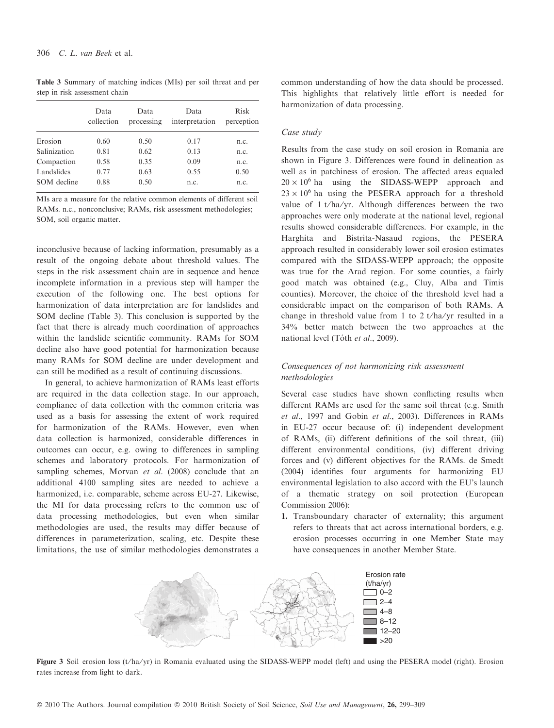Table 3 Summary of matching indices (MIs) per soil threat and per step in risk assessment chain

|              | Data<br>collection | Data<br>processing | Data<br>interpretation | Risk<br>perception |
|--------------|--------------------|--------------------|------------------------|--------------------|
| Erosion      | 0.60               | 0.50               | 0.17                   | n.c.               |
| Salinization | 0.81               | 0.62               | 0.13                   | n.c.               |
| Compaction   | 0.58               | 0.35               | 0.09                   | n.c.               |
| Landslides   | 0.77               | 0.63               | 0.55                   | 0.50               |
| SOM decline  | 0.88               | 0.50               | n.c.                   | n.c.               |

MIs are a measure for the relative common elements of different soil RAMs. n.c., nonconclusive; RAMs, risk assessment methodologies; SOM, soil organic matter.

inconclusive because of lacking information, presumably as a result of the ongoing debate about threshold values. The steps in the risk assessment chain are in sequence and hence incomplete information in a previous step will hamper the execution of the following one. The best options for harmonization of data interpretation are for landslides and SOM decline (Table 3). This conclusion is supported by the fact that there is already much coordination of approaches within the landslide scientific community. RAMs for SOM decline also have good potential for harmonization because many RAMs for SOM decline are under development and can still be modified as a result of continuing discussions.

In general, to achieve harmonization of RAMs least efforts are required in the data collection stage. In our approach, compliance of data collection with the common criteria was used as a basis for assessing the extent of work required for harmonization of the RAMs. However, even when data collection is harmonized, considerable differences in outcomes can occur, e.g. owing to differences in sampling schemes and laboratory protocols. For harmonization of sampling schemes, Morvan et al. (2008) conclude that an additional 4100 sampling sites are needed to achieve a harmonized, i.e. comparable, scheme across EU-27. Likewise, the MI for data processing refers to the common use of data processing methodologies, but even when similar methodologies are used, the results may differ because of differences in parameterization, scaling, etc. Despite these limitations, the use of similar methodologies demonstrates a

common understanding of how the data should be processed. This highlights that relatively little effort is needed for harmonization of data processing.

## Case study

Results from the case study on soil erosion in Romania are shown in Figure 3. Differences were found in delineation as well as in patchiness of erosion. The affected areas equaled  $20 \times 10^6$  ha using the SIDASS-WEPP approach and  $23 \times 10^6$  ha using the PESERA approach for a threshold value of 1 t/ha/yr. Although differences between the two approaches were only moderate at the national level, regional results showed considerable differences. For example, in the Harghita and Bistrita-Nasaud regions, the PESERA approach resulted in considerably lower soil erosion estimates compared with the SIDASS-WEPP approach; the opposite was true for the Arad region. For some counties, a fairly good match was obtained (e.g., Cluy, Alba and Timis counties). Moreover, the choice of the threshold level had a considerable impact on the comparison of both RAMs. A change in threshold value from 1 to  $2 t/ha/yr$  resulted in a 34% better match between the two approaches at the national level (Tóth et al., 2009).

# Consequences of not harmonizing risk assessment methodologies

Several case studies have shown conflicting results when different RAMs are used for the same soil threat (e.g. Smith et al., 1997 and Gobin et al., 2003). Differences in RAMs in EU-27 occur because of: (i) independent development of RAMs, (ii) different definitions of the soil threat, (iii) different environmental conditions, (iv) different driving forces and (v) different objectives for the RAMs. de Smedt (2004) identifies four arguments for harmonizing EU environmental legislation to also accord with the EU's launch of a thematic strategy on soil protection (European Commission 2006):

1. Transboundary character of externality; this argument refers to threats that act across international borders, e.g. erosion processes occurring in one Member State may have consequences in another Member State.



Figure 3 Soil erosion loss (t/ha/yr) in Romania evaluated using the SIDASS-WEPP model (left) and using the PESERA model (right). Erosion rates increase from light to dark.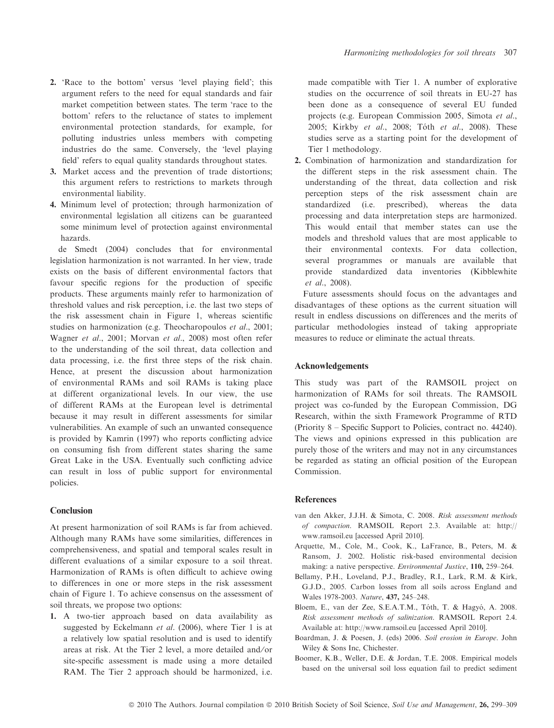- 2. 'Race to the bottom' versus 'level playing field'; this argument refers to the need for equal standards and fair market competition between states. The term 'race to the bottom' refers to the reluctance of states to implement environmental protection standards, for example, for polluting industries unless members with competing industries do the same. Conversely, the 'level playing field' refers to equal quality standards throughout states.
- 3. Market access and the prevention of trade distortions; this argument refers to restrictions to markets through environmental liability.
- 4. Minimum level of protection; through harmonization of environmental legislation all citizens can be guaranteed some minimum level of protection against environmental hazards.

de Smedt (2004) concludes that for environmental legislation harmonization is not warranted. In her view, trade exists on the basis of different environmental factors that favour specific regions for the production of specific products. These arguments mainly refer to harmonization of threshold values and risk perception, i.e. the last two steps of the risk assessment chain in Figure 1, whereas scientific studies on harmonization (e.g. Theocharopoulos et al., 2001; Wagner et al., 2001; Morvan et al., 2008) most often refer to the understanding of the soil threat, data collection and data processing, i.e. the first three steps of the risk chain. Hence, at present the discussion about harmonization of environmental RAMs and soil RAMs is taking place at different organizational levels. In our view, the use of different RAMs at the European level is detrimental because it may result in different assessments for similar vulnerabilities. An example of such an unwanted consequence is provided by Kamrin (1997) who reports conflicting advice on consuming fish from different states sharing the same Great Lake in the USA. Eventually such conflicting advice can result in loss of public support for environmental policies.

## Conclusion

At present harmonization of soil RAMs is far from achieved. Although many RAMs have some similarities, differences in comprehensiveness, and spatial and temporal scales result in different evaluations of a similar exposure to a soil threat. Harmonization of RAMs is often difficult to achieve owing to differences in one or more steps in the risk assessment chain of Figure 1. To achieve consensus on the assessment of soil threats, we propose two options:

1. A two-tier approach based on data availability as suggested by Eckelmann *et al.* (2006), where Tier 1 is at a relatively low spatial resolution and is used to identify areas at risk. At the Tier 2 level, a more detailed and ⁄ or site-specific assessment is made using a more detailed RAM. The Tier 2 approach should be harmonized, i.e.

made compatible with Tier 1. A number of explorative studies on the occurrence of soil threats in EU-27 has been done as a consequence of several EU funded projects (e.g. European Commission 2005, Simota et al., 2005; Kirkby et al., 2008; Tóth et al., 2008). These studies serve as a starting point for the development of Tier 1 methodology.

2. Combination of harmonization and standardization for the different steps in the risk assessment chain. The understanding of the threat, data collection and risk perception steps of the risk assessment chain are standardized (i.e. prescribed), whereas the data processing and data interpretation steps are harmonized. This would entail that member states can use the models and threshold values that are most applicable to their environmental contexts. For data collection, several programmes or manuals are available that provide standardized data inventories (Kibblewhite et al., 2008).

Future assessments should focus on the advantages and disadvantages of these options as the current situation will result in endless discussions on differences and the merits of particular methodologies instead of taking appropriate measures to reduce or eliminate the actual threats.

#### Acknowledgements

This study was part of the RAMSOIL project on harmonization of RAMs for soil threats. The RAMSOIL project was co-funded by the European Commission, DG Research, within the sixth Framework Programme of RTD (Priority 8 – Specific Support to Policies, contract no. 44240). The views and opinions expressed in this publication are purely those of the writers and may not in any circumstances be regarded as stating an official position of the European Commission.

#### References

- van den Akker, J.J.H. & Simota, C. 2008. Risk assessment methods of compaction. RAMSOIL Report 2.3. Available at: http:// www.ramsoil.eu [accessed April 2010].
- Arquette, M., Cole, M., Cook, K., LaFrance, B., Peters, M. & Ransom, J. 2002. Holistic risk-based environmental decision making: a native perspective. Environmental Justice, 110, 259–264.
- Bellamy, P.H., Loveland, P.J., Bradley, R.I., Lark, R.M. & Kirk, G.J.D., 2005. Carbon losses from all soils across England and Wales 1978-2003. Nature, 437, 245–248.
- Bloem, E., van der Zee, S.E.A.T.M., Tóth, T. & Hagyó, A. 2008. Risk assessment methods of salinization. RAMSOIL Report 2.4. Available at: http://www.ramsoil.eu [accessed April 2010].
- Boardman, J. & Poesen, J. (eds) 2006. Soil erosion in Europe. John Wiley & Sons Inc, Chichester.
- Boomer, K.B., Weller, D.E. & Jordan, T.E. 2008. Empirical models based on the universal soil loss equation fail to predict sediment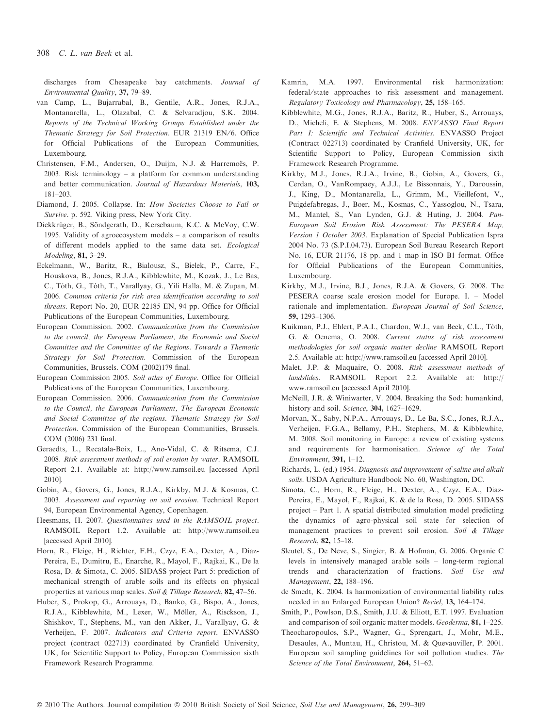discharges from Chesapeake bay catchments. Journal of Environmental Quality, 37, 79–89.

- van Camp, L., Bujarrabal, B., Gentile, A.R., Jones, R.J.A., Montanarella, L., Olazabal, C. & Selvaradjou, S.K. 2004. Reports of the Technical Working Groups Established under the Thematic Strategy for Soil Protection. EUR 21319 EN/6. Office for Official Publications of the European Communities, Luxembourg.
- Christensen, F.M., Andersen, O., Duijm, N.J. & Harremoës, P. 2003. Risk terminology – a platform for common understanding and better communication. Journal of Hazardous Materials, 103, 181–203.
- Diamond, J. 2005. Collapse. In: How Societies Choose to Fail or Survive. p. 592. Viking press, New York City.
- Diekkrüger, B., Söndgerath, D., Kersebaum, K.C. & McVoy, C.W. 1995. Validity of agroecosystem models – a comparison of results of different models applied to the same data set. Ecological Modeling, 81, 3–29.
- Eckelmann, W., Baritz, R., Bialousz, S., Bielek, P., Carre, F., Houskova, B., Jones, R.J.A., Kibblewhite, M., Kozak, J., Le Bas, C., Tóth, G., Tóth, T., Varallyay, G., Yili Halla, M. & Zupan, M. 2006. Common criteria for risk area identification according to soil threats. Report No. 20, EUR 22185 EN, 94 pp. Office for Official Publications of the European Communities, Luxembourg.
- European Commission. 2002. Communication from the Commission to the council, the European Parliament, the Economic and Social Committee and the Committee of the Regions. Towards a Thematic Strategy for Soil Protection. Commission of the European Communities, Brussels. COM (2002)179 final.
- European Commission 2005. Soil atlas of Europe. Office for Official Publications of the European Communities, Luxembourg.
- European Commission. 2006. Communication from the Commission to the Council, the European Parliament, The European Economic and Social Committee of the regions. Thematic Strategy for Soil Protection. Commission of the European Communities, Brussels. COM (2006) 231 final.
- Geraedts, L., Recatala-Boix, L., Ano-Vidal, C. & Ritsema, C.J. 2008. Risk assessment methods of soil erosion by water. RAMSOIL Report 2.1. Available at: http://www.ramsoil.eu [accessed April 2010].
- Gobin, A., Govers, G., Jones, R.J.A., Kirkby, M.J. & Kosmas, C. 2003. Assessment and reporting on soil erosion. Technical Report 94, European Environmental Agency, Copenhagen.
- Heesmans, H. 2007. Questionnaires used in the RAMSOIL project. RAMSOIL Report 1.2. Available at: http://www.ramsoil.eu [accessed April 2010].
- Horn, R., Fleige, H., Richter, F.H., Czyz, E.A., Dexter, A., Diaz-Pereira, E., Dumitru, E., Enarche, R., Mayol, F., Rajkai, K., De la Rosa, D. & Simota, C. 2005. SIDASS project Part 5: prediction of mechanical strength of arable soils and its effects on physical properties at various map scales. Soil & Tillage Research, 82, 47–56.
- Huber, S., Prokop, G., Arrouays, D., Banko, G., Bispo, A., Jones, R.J.A., Kibblewhite, M., Lexer, W., Möller, A., Risckson, J., Shishkov, T., Stephens, M., van den Akker, J., Varallyay, G. & Verheijen, F. 2007. Indicators and Criteria report. ENVASSO project (contract 022713) coordinated by Cranfield University, UK, for Scientific Support to Policy, European Commission sixth Framework Research Programme.
- Kamrin, M.A. 1997. Environmental risk harmonization: federal/state approaches to risk assessment and management. Regulatory Toxicology and Pharmacology, 25, 158–165.
- Kibblewhite, M.G., Jones, R.J.A., Baritz, R., Huber, S., Arrouays, D., Micheli, E. & Stephens, M. 2008. ENVASSO Final Report Part I: Scientific and Technical Activities. ENVASSO Project (Contract 022713) coordinated by Cranfield University, UK, for Scientific Support to Policy, European Commission sixth Framework Research Programme.
- Kirkby, M.J., Jones, R.J.A., Irvine, B., Gobin, A., Govers, G., Cerdan, O., VanRompaey, A.J.J., Le Bissonnais, Y., Daroussin, J., King, D., Montanarella, L., Grimm, M., Vieillefont, V., Puigdefabregas, J., Boer, M., Kosmas, C., Yassoglou, N., Tsara, M., Mantel, S., Van Lynden, G.J. & Huting, J. 2004. Pan-European Soil Erosion Risk Assessment: The PESERA Map, Version 1 October 2003. Explanation of Special Publication Ispra 2004 No. 73 (S.P.I.04.73). European Soil Bureau Research Report No. 16, EUR 21176, 18 pp. and 1 map in ISO B1 format. Office for Official Publications of the European Communities, Luxembourg.
- Kirkby, M.J., Irvine, B.J., Jones, R.J.A. & Govers, G. 2008. The PESERA coarse scale erosion model for Europe. I. – Model rationale and implementation. European Journal of Soil Science, 59, 1293–1306.
- Kuikman, P.J., Ehlert, P.A.I., Chardon, W.J., van Beek, C.L., Tóth, G. & Oenema, O. 2008. Current status of risk assessment methodologies for soil organic matter decline RAMSOIL Report 2.5. Available at: http://www.ramsoil.eu [accessed April 2010].
- Malet, J.P. & Maquaire, O. 2008. Risk assessment methods of landslides. RAMSOIL Report 2.2. Available at: http:// www.ramsoil.eu [accessed April 2010].
- McNeill, J.R. & Winiwarter, V. 2004. Breaking the Sod: humankind, history and soil. Science, 304, 1627-1629.
- Morvan, X., Saby, N.P.A., Arrouays, D., Le Ba, S.C., Jones, R.J.A., Verheijen, F.G.A., Bellamy, P.H., Stephens, M. & Kibblewhite, M. 2008. Soil monitoring in Europe: a review of existing systems and requirements for harmonisation. Science of the Total Environment, 391, 1–12.
- Richards, L. (ed.) 1954. Diagnosis and improvement of saline and alkali soils. USDA Agriculture Handbook No. 60, Washington, DC.
- Simota, C., Horn, R., Fleige, H., Dexter, A., Czyz, E.A., Diaz-Pereira, E., Mayol, F., Rajkai, K. & de la Rosa, D. 2005. SIDASS project – Part 1. A spatial distributed simulation model predicting the dynamics of agro-physical soil state for selection of management practices to prevent soil erosion. Soil & Tillage Research, 82, 15–18.
- Sleutel, S., De Neve, S., Singier, B. & Hofman, G. 2006. Organic C levels in intensively managed arable soils – long-term regional trends and characterization of fractions. Soil Use and Management, 22, 188–196.
- de Smedt, K. 2004. Is harmonization of environmental liability rules needed in an Enlarged European Union? Reciel, 13, 164–174.
- Smith, P., Powlson, D.S., Smith, J.U. & Elliott, E.T. 1997. Evaluation and comparison of soil organic matter models. Geoderma, 81, 1–225.
- Theocharopoulos, S.P., Wagner, G., Sprengart, J., Mohr, M.E., Desaules, A., Muntau, H., Christou, M. & Quevauviller, P. 2001. European soil sampling guidelines for soil pollution studies. The Science of the Total Environment, 264, 51–62.